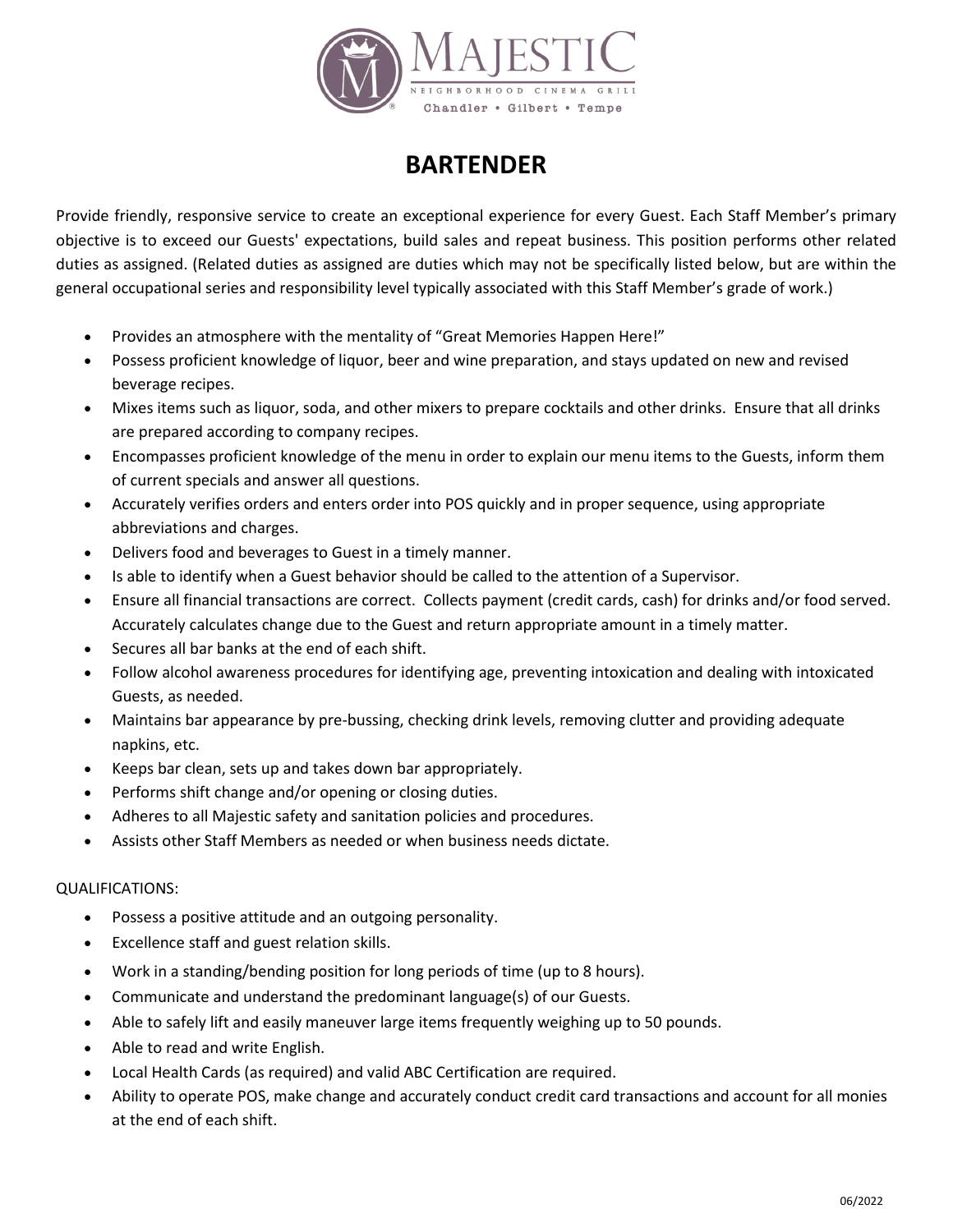

## **BARTENDER**

Provide friendly, responsive service to create an exceptional experience for every Guest. Each Staff Member's primary objective is to exceed our Guests' expectations, build sales and repeat business. This position performs other related duties as assigned. (Related duties as assigned are duties which may not be specifically listed below, but are within the general occupational series and responsibility level typically associated with this Staff Member's grade of work.)

- Provides an atmosphere with the mentality of "Great Memories Happen Here!"
- Possess proficient knowledge of liquor, beer and wine preparation, and stays updated on new and revised beverage recipes.
- Mixes items such as liquor, soda, and other mixers to prepare cocktails and other drinks. Ensure that all drinks are prepared according to company recipes.
- Encompasses proficient knowledge of the menu in order to explain our menu items to the Guests, inform them of current specials and answer all questions.
- Accurately verifies orders and enters order into POS quickly and in proper sequence, using appropriate abbreviations and charges.
- Delivers food and beverages to Guest in a timely manner.
- Is able to identify when a Guest behavior should be called to the attention of a Supervisor.
- Ensure all financial transactions are correct. Collects payment (credit cards, cash) for drinks and/or food served. Accurately calculates change due to the Guest and return appropriate amount in a timely matter.
- Secures all bar banks at the end of each shift.
- Follow alcohol awareness procedures for identifying age, preventing intoxication and dealing with intoxicated Guests, as needed.
- Maintains bar appearance by pre-bussing, checking drink levels, removing clutter and providing adequate napkins, etc.
- Keeps bar clean, sets up and takes down bar appropriately.
- Performs shift change and/or opening or closing duties.
- Adheres to all Majestic safety and sanitation policies and procedures.
- Assists other Staff Members as needed or when business needs dictate.

## QUALIFICATIONS:

- Possess a positive attitude and an outgoing personality.
- Excellence staff and guest relation skills.
- Work in a standing/bending position for long periods of time (up to 8 hours).
- Communicate and understand the predominant language(s) of our Guests.
- Able to safely lift and easily maneuver large items frequently weighing up to 50 pounds.
- Able to read and write English.
- Local Health Cards (as required) and valid ABC Certification are required.
- Ability to operate POS, make change and accurately conduct credit card transactions and account for all monies at the end of each shift.